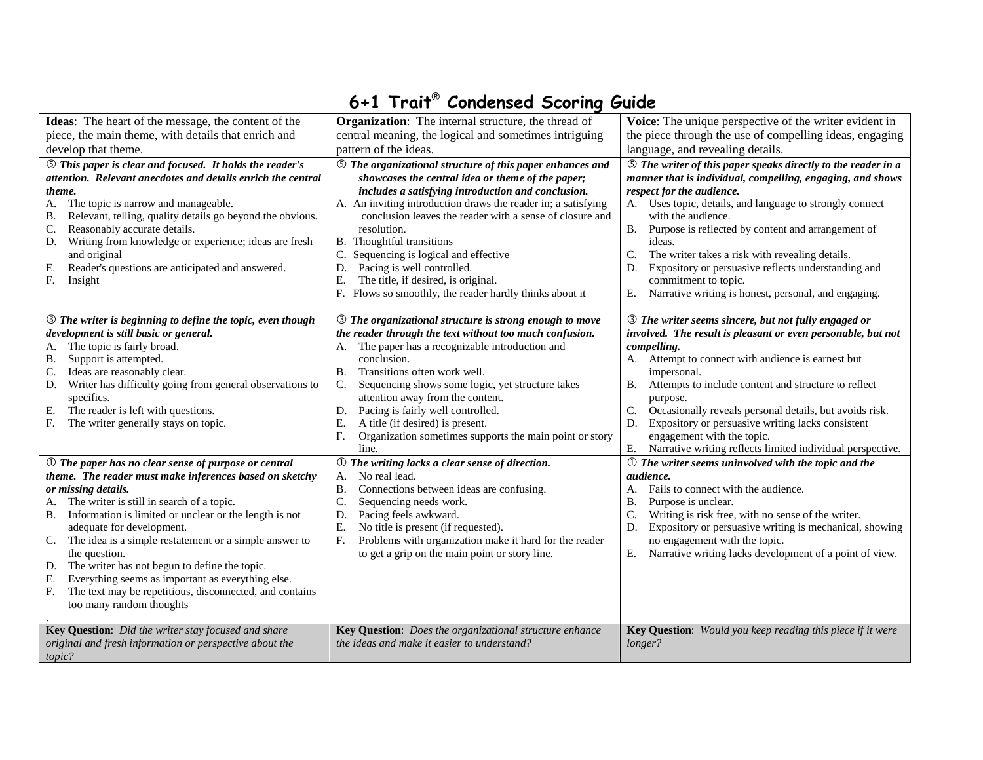## 6+1 Trait**®** Condensed Scoring Guide

| Ideas: The heart of the message, the content of the<br>piece, the main theme, with details that enrich and<br>develop that theme.<br><b>S</b> This paper is clear and focused. It holds the reader's<br>attention. Relevant anecdotes and details enrich the central<br>theme.<br>The topic is narrow and manageable.<br>А.<br>Relevant, telling, quality details go beyond the obvious.<br>В.                                                                                                                                                                                                | <b>Organization:</b> The internal structure, the thread of<br>central meaning, the logical and sometimes intriguing<br>pattern of the ideas.<br><b>5</b> The organizational structure of this paper enhances and<br>showcases the central idea or theme of the paper;<br>includes a satisfying introduction and conclusion.<br>A. An inviting introduction draws the reader in; a satisfying<br>conclusion leaves the reader with a sense of closure and                                                    | Voice: The unique perspective of the writer evident in<br>the piece through the use of compelling ideas, engaging<br>language, and revealing details.<br><b>S</b> The writer of this paper speaks directly to the reader in a<br>manner that is individual, compelling, engaging, and shows<br>respect for the audience.<br>A. Uses topic, details, and language to strongly connect<br>with the audience.                                                                                                              |
|-----------------------------------------------------------------------------------------------------------------------------------------------------------------------------------------------------------------------------------------------------------------------------------------------------------------------------------------------------------------------------------------------------------------------------------------------------------------------------------------------------------------------------------------------------------------------------------------------|-------------------------------------------------------------------------------------------------------------------------------------------------------------------------------------------------------------------------------------------------------------------------------------------------------------------------------------------------------------------------------------------------------------------------------------------------------------------------------------------------------------|-------------------------------------------------------------------------------------------------------------------------------------------------------------------------------------------------------------------------------------------------------------------------------------------------------------------------------------------------------------------------------------------------------------------------------------------------------------------------------------------------------------------------|
| C.<br>Reasonably accurate details.<br>Writing from knowledge or experience; ideas are fresh<br>D.<br>and original<br>Е.<br>Reader's questions are anticipated and answered.<br>F.<br>Insight                                                                                                                                                                                                                                                                                                                                                                                                  | resolution.<br>B. Thoughtful transitions<br>C. Sequencing is logical and effective<br>Pacing is well controlled.<br>D.<br>Ε.<br>The title, if desired, is original.<br>F. Flows so smoothly, the reader hardly thinks about it                                                                                                                                                                                                                                                                              | <b>B.</b><br>Purpose is reflected by content and arrangement of<br>ideas.<br>C.<br>The writer takes a risk with revealing details.<br>Expository or persuasive reflects understanding and<br>D.<br>commitment to topic.<br>Narrative writing is honest, personal, and engaging.<br>Е.                                                                                                                                                                                                                                   |
| <b>3</b> The writer is beginning to define the topic, even though<br>development is still basic or general.<br>A. The topic is fairly broad.<br>Support is attempted.<br>В.<br>Ideas are reasonably clear.<br>C.<br>Writer has difficulty going from general observations to<br>D.<br>specifics.<br>The reader is left with questions.<br>E.<br>F.<br>The writer generally stays on topic.                                                                                                                                                                                                    | <b>3</b> The organizational structure is strong enough to move<br>the reader through the text without too much confusion.<br>A. The paper has a recognizable introduction and<br>conclusion.<br>Transitions often work well.<br>В.<br>Sequencing shows some logic, yet structure takes<br>$\mathbb{C}$ .<br>attention away from the content.<br>Pacing is fairly well controlled.<br>D.<br>A title (if desired) is present.<br>Е.<br>F.<br>Organization sometimes supports the main point or story<br>line. | <b>3</b> The writer seems sincere, but not fully engaged or<br>involved. The result is pleasant or even personable, but not<br>compelling.<br>A. Attempt to connect with audience is earnest but<br>impersonal.<br>Attempts to include content and structure to reflect<br>В.<br>purpose.<br>C.<br>Occasionally reveals personal details, but avoids risk.<br>Expository or persuasive writing lacks consistent<br>D.<br>engagement with the topic.<br>Е.<br>Narrative writing reflects limited individual perspective. |
| $\mathbb O$ The paper has no clear sense of purpose or central<br>theme. The reader must make inferences based on sketchy<br>or missing details.<br>The writer is still in search of a topic.<br>А.<br>B. Information is limited or unclear or the length is not<br>adequate for development.<br>The idea is a simple restatement or a simple answer to<br>C.<br>the question.<br>The writer has not begun to define the topic.<br>D.<br>Everything seems as important as everything else.<br>Е.<br>The text may be repetitious, disconnected, and contains<br>F.<br>too many random thoughts | $\mathbb O$ The writing lacks a clear sense of direction.<br>No real lead.<br>А.<br>Connections between ideas are confusing.<br>В.<br>C.<br>Sequencing needs work.<br>D.<br>Pacing feels awkward.<br>Ε.<br>No title is present (if requested).<br>Problems with organization make it hard for the reader<br>F.<br>to get a grip on the main point or story line.                                                                                                                                            | $\mathbb O$ The writer seems uninvolved with the topic and the<br><i>audience.</i><br>Fails to connect with the audience.<br>А.<br>Purpose is unclear.<br>Β.<br>Writing is risk free, with no sense of the writer.<br>C.<br>Expository or persuasive writing is mechanical, showing<br>D.<br>no engagement with the topic.<br>E.<br>Narrative writing lacks development of a point of view.                                                                                                                             |
| Key Question: Did the writer stay focused and share<br>original and fresh information or perspective about the<br>topic?                                                                                                                                                                                                                                                                                                                                                                                                                                                                      | Key Question: Does the organizational structure enhance<br>the ideas and make it easier to understand?                                                                                                                                                                                                                                                                                                                                                                                                      | Key Question: Would you keep reading this piece if it were<br>longer?                                                                                                                                                                                                                                                                                                                                                                                                                                                   |